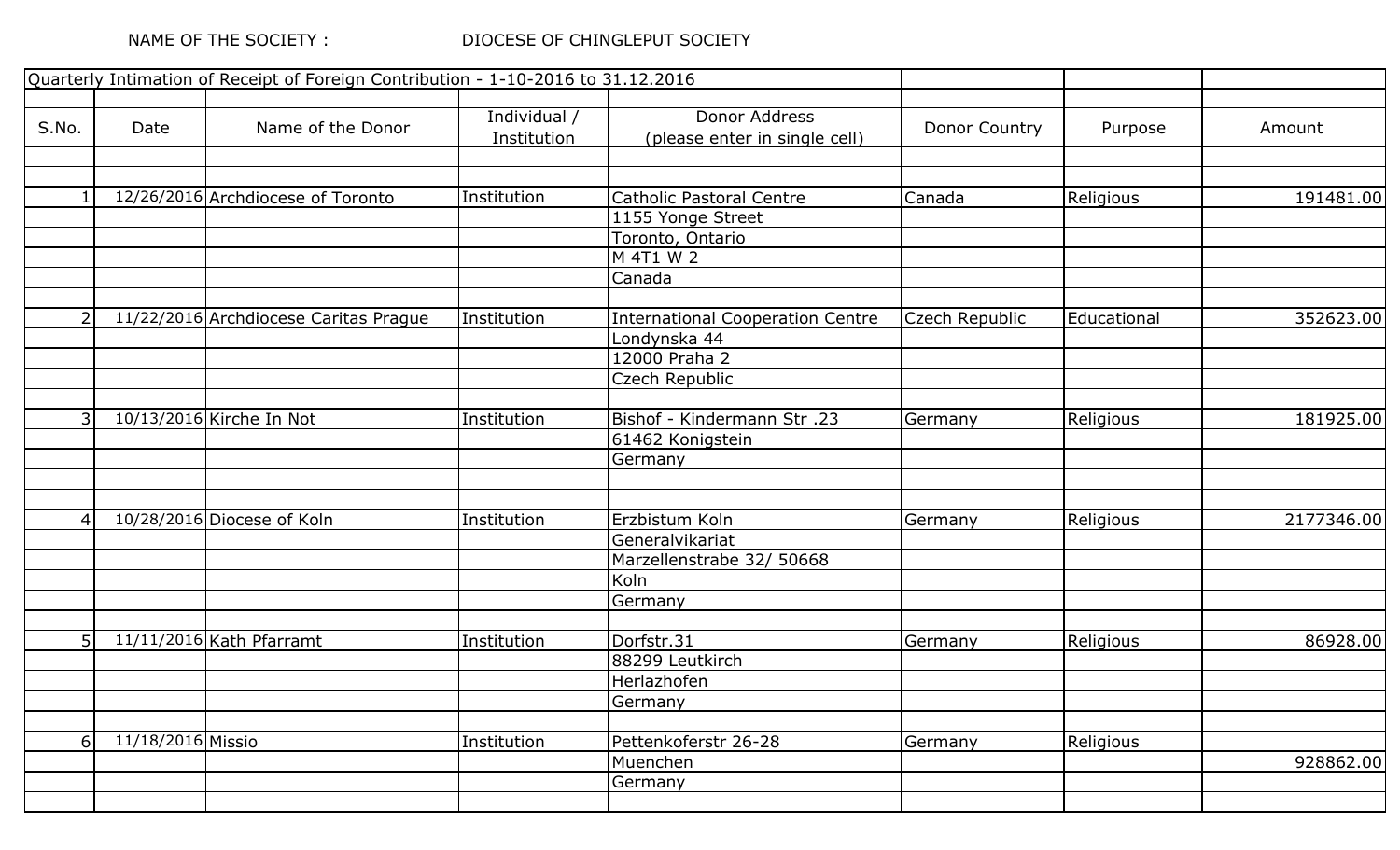|                |                   | Quarterly Intimation of Receipt of Foreign Contribution - 1-10-2016 to 31.12.2016 |              |                                         |                |             |            |
|----------------|-------------------|-----------------------------------------------------------------------------------|--------------|-----------------------------------------|----------------|-------------|------------|
| S.No.          | Date              | Name of the Donor                                                                 | Individual / | Donor Address                           | Donor Country  | Purpose     | Amount     |
|                |                   |                                                                                   | Institution  | (please enter in single cell)           |                |             |            |
|                |                   |                                                                                   |              |                                         |                |             |            |
|                |                   | 12/26/2016 Archdiocese of Toronto                                                 | Institution  | <b>Catholic Pastoral Centre</b>         | Canada         | Religious   | 191481.00  |
|                |                   |                                                                                   |              | 1155 Yonge Street                       |                |             |            |
|                |                   |                                                                                   |              | Toronto, Ontario                        |                |             |            |
|                |                   |                                                                                   |              | M 4T1 W 2                               |                |             |            |
|                |                   |                                                                                   |              | Canada                                  |                |             |            |
| $\overline{2}$ |                   | 11/22/2016 Archdiocese Caritas Prague                                             | Institution  | <b>International Cooperation Centre</b> | Czech Republic | Educational | 352623.00  |
|                |                   |                                                                                   |              | Londynska 44                            |                |             |            |
|                |                   |                                                                                   |              | 12000 Praha 2                           |                |             |            |
|                |                   |                                                                                   |              | Czech Republic                          |                |             |            |
| $\overline{3}$ |                   |                                                                                   |              |                                         |                |             |            |
|                |                   | 10/13/2016 Kirche In Not                                                          | Institution  | Bishof - Kindermann Str. 23             | Germany        | Religious   | 181925.00  |
|                |                   |                                                                                   |              | 61462 Konigstein<br>Germany             |                |             |            |
|                |                   |                                                                                   |              |                                         |                |             |            |
| 4              |                   | 10/28/2016 Diocese of Koln                                                        | Institution  | Erzbistum Koln                          | Germany        | Religious   | 2177346.00 |
|                |                   |                                                                                   |              | Generalvikariat                         |                |             |            |
|                |                   |                                                                                   |              | Marzellenstrabe 32/ 50668               |                |             |            |
|                |                   |                                                                                   |              | Koln                                    |                |             |            |
|                |                   |                                                                                   |              | Germany                                 |                |             |            |
|                |                   |                                                                                   |              |                                         |                |             |            |
| 5 <sup>1</sup> |                   | $\overline{11/11/2016}$ Kath Pfarramt                                             | Institution  | Dorfstr.31                              | Germany        | Religious   | 86928.00   |
|                |                   |                                                                                   |              | 88299 Leutkirch                         |                |             |            |
|                |                   |                                                                                   |              | Herlazhofen                             |                |             |            |
|                |                   |                                                                                   |              | Germany                                 |                |             |            |
| 6 <sup>1</sup> | 11/18/2016 Missio |                                                                                   | Institution  | Pettenkoferstr 26-28                    | Germany        | Religious   |            |
|                |                   |                                                                                   |              | Muenchen                                |                |             | 928862.00  |
|                |                   |                                                                                   |              | Germany                                 |                |             |            |
|                |                   |                                                                                   |              |                                         |                |             |            |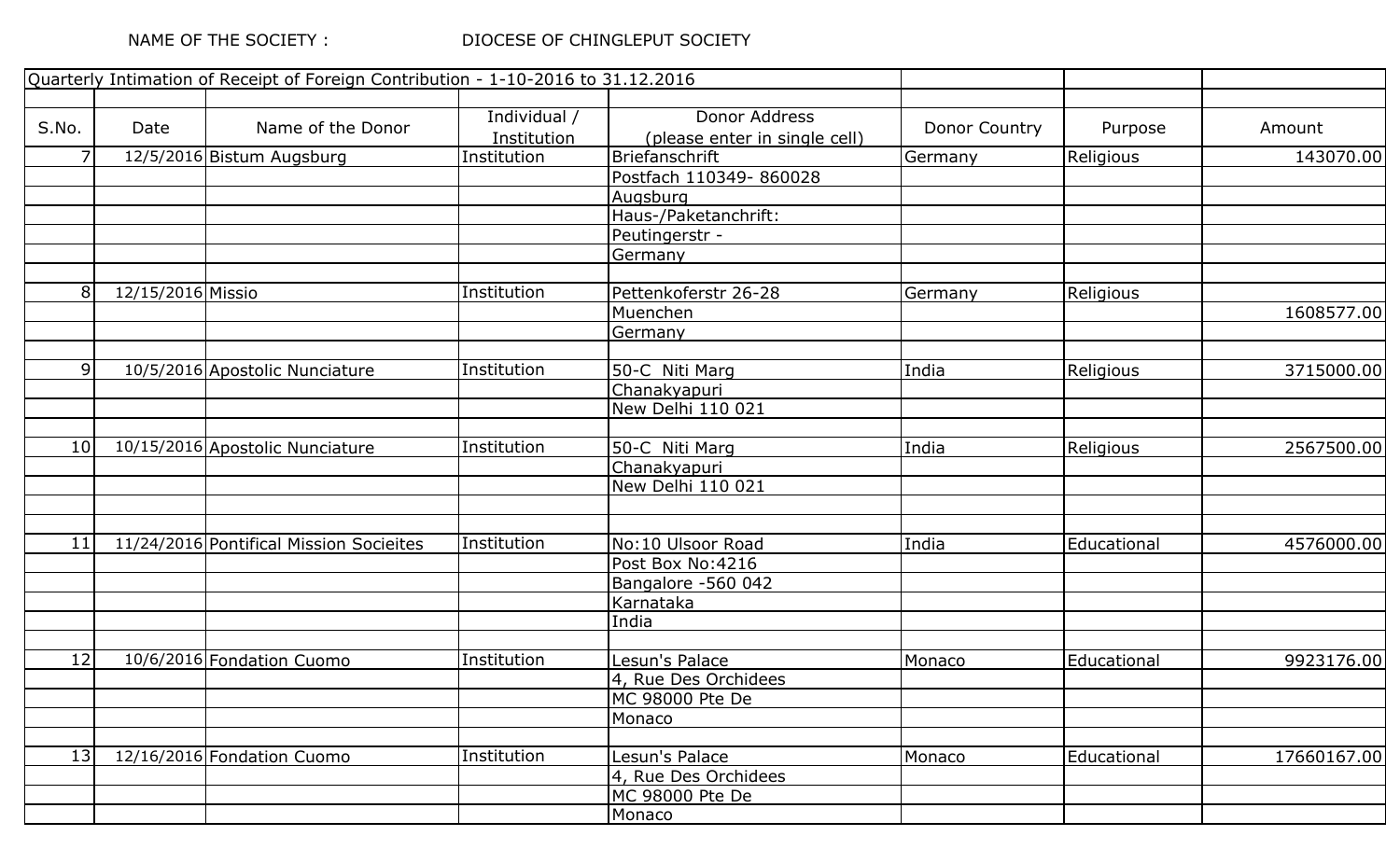|                 |                   | Quarterly Intimation of Receipt of Foreign Contribution - 1-10-2016 to 31.12.2016 |              |                               |               |                  |             |
|-----------------|-------------------|-----------------------------------------------------------------------------------|--------------|-------------------------------|---------------|------------------|-------------|
|                 |                   |                                                                                   |              |                               |               |                  |             |
| S.No.           | Date              | Name of the Donor                                                                 | Individual / | Donor Address                 | Donor Country | Purpose          | Amount      |
|                 |                   |                                                                                   | Institution  | (please enter in single cell) |               |                  |             |
| $\overline{7}$  |                   | 12/5/2016 Bistum Augsburg                                                         | Institution  | Briefanschrift                | Germany       | Religious        | 143070.00   |
|                 |                   |                                                                                   |              | Postfach 110349-860028        |               |                  |             |
|                 |                   |                                                                                   |              | Augsburg                      |               |                  |             |
|                 |                   |                                                                                   |              | Haus-/Paketanchrift:          |               |                  |             |
|                 |                   |                                                                                   |              | Peutingerstr -                |               |                  |             |
|                 |                   |                                                                                   |              | Germany                       |               |                  |             |
| 8               | 12/15/2016 Missio |                                                                                   | Institution  | Pettenkoferstr 26-28          | Germany       | Religious        |             |
|                 |                   |                                                                                   |              | Muenchen                      |               |                  | 1608577.00  |
|                 |                   |                                                                                   |              | Germany                       |               |                  |             |
|                 |                   |                                                                                   |              |                               |               |                  |             |
| 9               |                   | 10/5/2016 Apostolic Nunciature                                                    | Institution  | 50-C Niti Marg                | India         | Religious        | 3715000.00  |
|                 |                   |                                                                                   |              | Chanakyapuri                  |               |                  |             |
|                 |                   |                                                                                   |              | New Delhi 110 021             |               |                  |             |
| 10 <sup>1</sup> |                   | 10/15/2016 Apostolic Nunciature                                                   | Institution  |                               | India         |                  |             |
|                 |                   |                                                                                   |              | 50-C Niti Marg                |               | <b>Religious</b> | 2567500.00  |
|                 |                   |                                                                                   |              | Chanakyapuri                  |               |                  |             |
|                 |                   |                                                                                   |              | New Delhi 110 021             |               |                  |             |
|                 |                   |                                                                                   |              |                               |               |                  |             |
| 11              |                   | 11/24/2016 Pontifical Mission Socieites                                           | Institution  | No:10 Ulsoor Road             | India         | Educational      | 4576000.00  |
|                 |                   |                                                                                   |              | Post Box No:4216              |               |                  |             |
|                 |                   |                                                                                   |              | Bangalore -560 042            |               |                  |             |
|                 |                   |                                                                                   |              | Karnataka                     |               |                  |             |
|                 |                   |                                                                                   |              | India                         |               |                  |             |
| 12              |                   | 10/6/2016 Fondation Cuomo                                                         | Institution  | Lesun's Palace                | Monaco        | Educational      | 9923176.00  |
|                 |                   |                                                                                   |              | 4, Rue Des Orchidees          |               |                  |             |
|                 |                   |                                                                                   |              | MC 98000 Pte De               |               |                  |             |
|                 |                   |                                                                                   |              | Monaco                        |               |                  |             |
| 13              |                   |                                                                                   | Institution  |                               |               |                  |             |
|                 |                   | 12/16/2016 Fondation Cuomo                                                        |              | Lesun's Palace                | Monaco        | Educational      | 17660167.00 |
|                 |                   |                                                                                   |              | 4, Rue Des Orchidees          |               |                  |             |
|                 |                   |                                                                                   |              | MC 98000 Pte De               |               |                  |             |
|                 |                   |                                                                                   |              | Monaco                        |               |                  |             |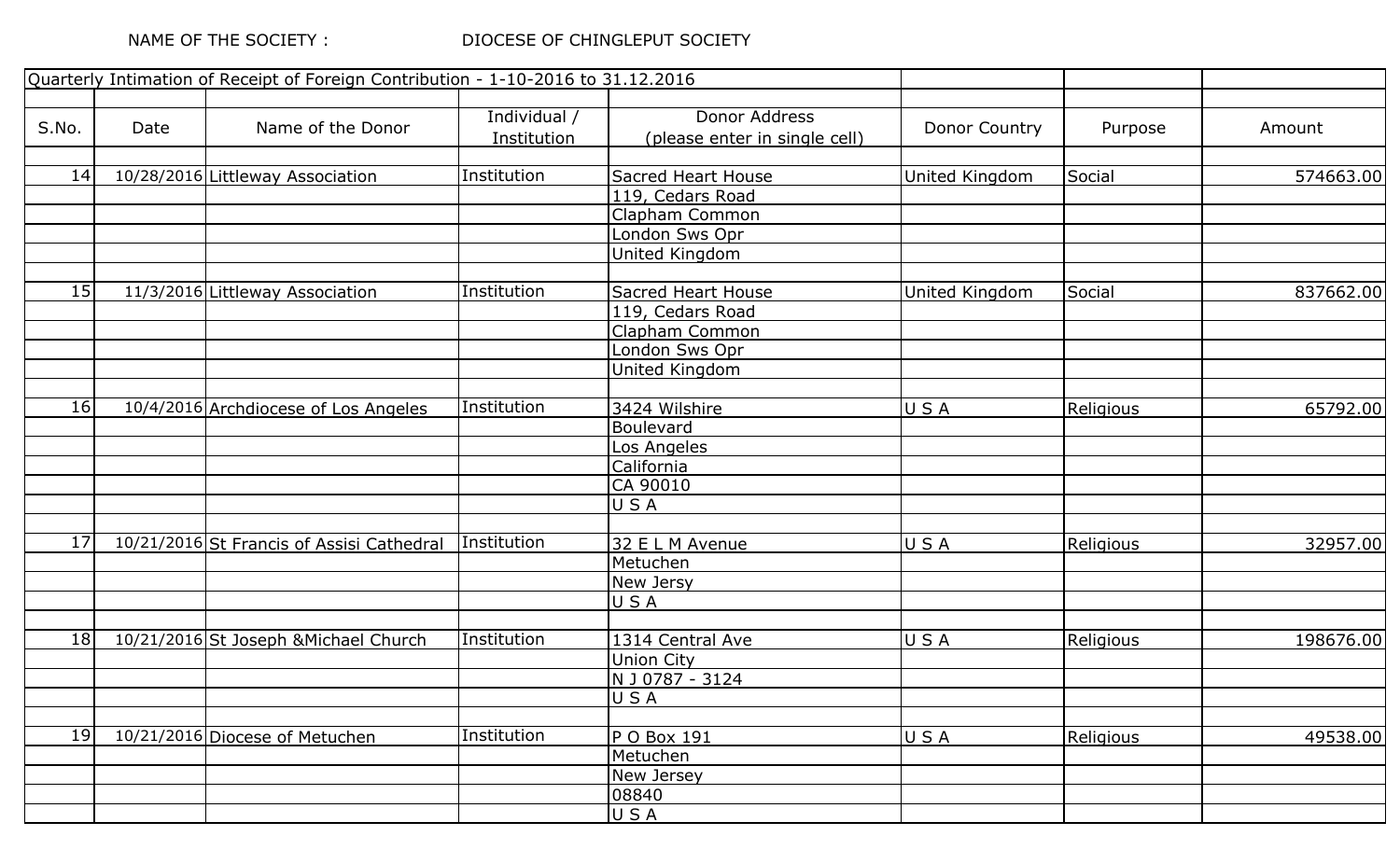## DIOCESE OF CHINGLEPUT SOCIETY

|                 |      | Quarterly Intimation of Receipt of Foreign Contribution - 1-10-2016 to 31.12.2016 |              |                               |                |                  |           |
|-----------------|------|-----------------------------------------------------------------------------------|--------------|-------------------------------|----------------|------------------|-----------|
|                 |      |                                                                                   |              |                               |                |                  |           |
| S.No.           | Date | Name of the Donor                                                                 | Individual / | Donor Address                 | Donor Country  | Purpose          | Amount    |
|                 |      |                                                                                   | Institution  | (please enter in single cell) |                |                  |           |
|                 |      |                                                                                   |              |                               |                |                  |           |
| 14              |      | 10/28/2016 Littleway Association                                                  | Institution  | Sacred Heart House            | United Kingdom | Social           | 574663.00 |
|                 |      |                                                                                   |              | 119, Cedars Road              |                |                  |           |
|                 |      |                                                                                   |              | Clapham Common                |                |                  |           |
|                 |      |                                                                                   |              | London Sws Opr                |                |                  |           |
|                 |      |                                                                                   |              | United Kingdom                |                |                  |           |
|                 |      |                                                                                   |              |                               |                |                  |           |
| 15              |      | 11/3/2016 Littleway Association                                                   | Institution  | <b>Sacred Heart House</b>     | United Kingdom | Social           | 837662.00 |
|                 |      |                                                                                   |              | 119, Cedars Road              |                |                  |           |
|                 |      |                                                                                   |              | Clapham Common                |                |                  |           |
|                 |      |                                                                                   |              | London Sws Opr                |                |                  |           |
|                 |      |                                                                                   |              | United Kingdom                |                |                  |           |
| 16              |      | 10/4/2016 Archdiocese of Los Angeles                                              | Institution  | 3424 Wilshire                 | USA            | Religious        | 65792.00  |
|                 |      |                                                                                   |              | Boulevard                     |                |                  |           |
|                 |      |                                                                                   |              | Los Angeles                   |                |                  |           |
|                 |      |                                                                                   |              | California                    |                |                  |           |
|                 |      |                                                                                   |              | CA 90010                      |                |                  |           |
|                 |      |                                                                                   |              | USA                           |                |                  |           |
|                 |      |                                                                                   |              |                               |                |                  |           |
| 17              |      | 10/21/2016 St Francis of Assisi Cathedral                                         | Institution  | 32 E L M Avenue               | USA            | <b>Religious</b> | 32957.00  |
|                 |      |                                                                                   |              | Metuchen                      |                |                  |           |
|                 |      |                                                                                   |              | New Jersy                     |                |                  |           |
|                 |      |                                                                                   |              | USA                           |                |                  |           |
|                 |      |                                                                                   |              |                               |                |                  |           |
| 18              |      | 10/21/2016 St Joseph & Michael Church                                             | Institution  | 1314 Central Ave              | USA            | <b>Religious</b> | 198676.00 |
|                 |      |                                                                                   |              | <b>Union City</b>             |                |                  |           |
|                 |      |                                                                                   |              | N J 0787 - 3124               |                |                  |           |
|                 |      |                                                                                   |              | USA                           |                |                  |           |
|                 |      |                                                                                   |              |                               |                |                  |           |
| 19 <sup>1</sup> |      | 10/21/2016 Diocese of Metuchen                                                    | Institution  | P O Box 191                   | USA            | Religious        | 49538.00  |
|                 |      |                                                                                   |              | Metuchen                      |                |                  |           |
|                 |      |                                                                                   |              | New Jersey                    |                |                  |           |
|                 |      |                                                                                   |              | 08840                         |                |                  |           |
|                 |      |                                                                                   |              | USA                           |                |                  |           |